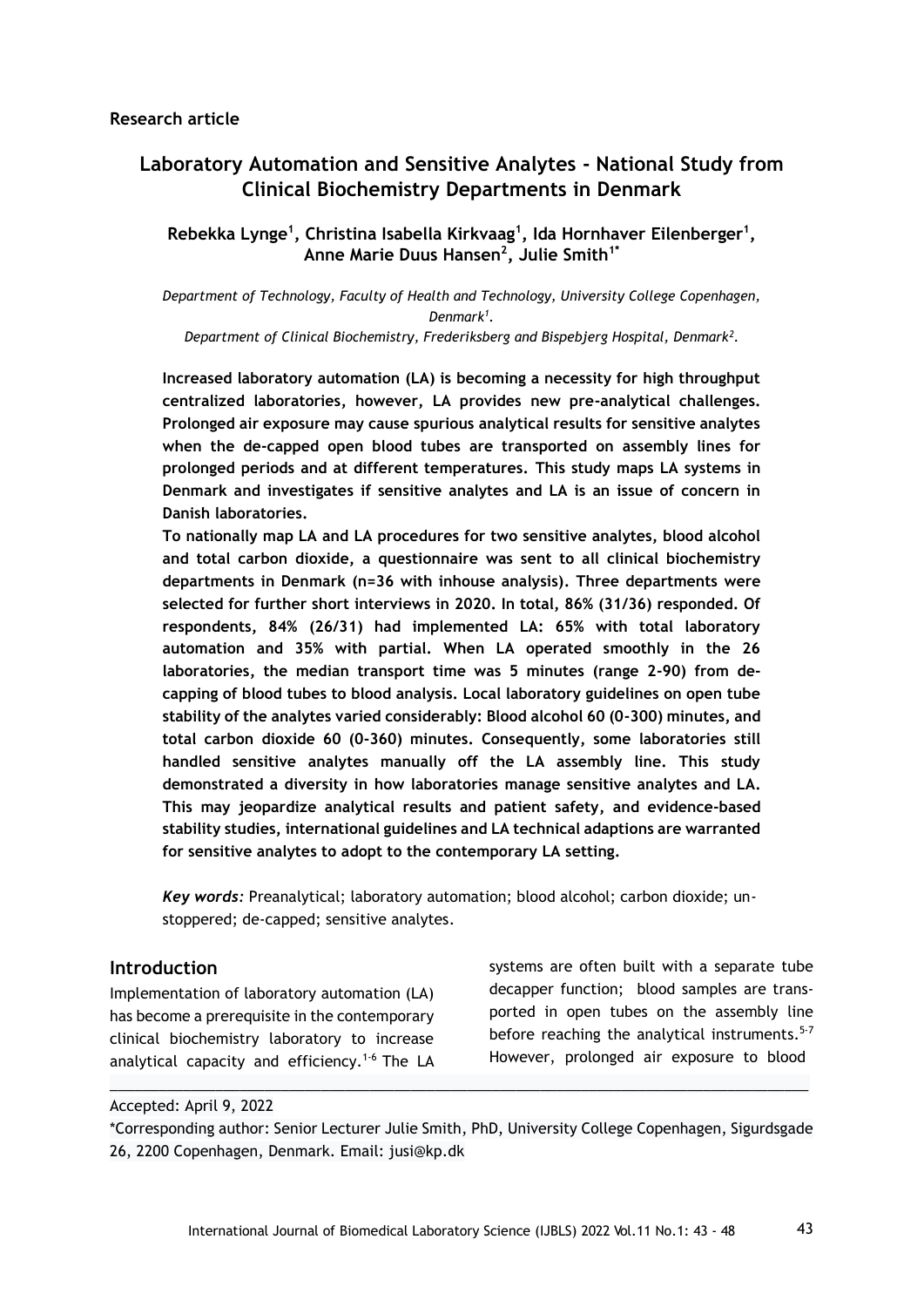# **Laboratory Automation and Sensitive Analytes - National Study from Clinical Biochemistry Departments in Denmark**

**Rebekka Lynge<sup>1</sup> , Christina Isabella Kirkvaag<sup>1</sup> , Ida Hornhaver Eilenberger<sup>1</sup> , Anne Marie Duus Hansen<sup>2</sup> , Julie Smith1\***

*Department of Technology, Faculty of Health and Technology, University College Copenhagen, Denmark<sup>1</sup> .*

*Department of Clinical Biochemistry, Frederiksberg and Bispebjerg Hospital, Denmark<sup>2</sup> .*

**Increased laboratory automation (LA) is becoming a necessity for high throughput centralized laboratories, however, LA provides new pre-analytical challenges. Prolonged air exposure may cause spurious analytical results for sensitive analytes when the de-capped open blood tubes are transported on assembly lines for prolonged periods and at different temperatures. This study maps LA systems in Denmark and investigates if sensitive analytes and LA is an issue of concern in Danish laboratories.**

**To nationally map LA and LA procedures for two sensitive analytes, blood alcohol and total carbon dioxide, a questionnaire was sent to all clinical biochemistry departments in Denmark (n=36 with inhouse analysis). Three departments were selected for further short interviews in 2020. In total, 86% (31/36) responded. Of respondents, 84% (26/31) had implemented LA: 65% with total laboratory automation and 35% with partial. When LA operated smoothly in the 26 laboratories, the median transport time was 5 minutes (range 2-90) from decapping of blood tubes to blood analysis. Local laboratory guidelines on open tube stability of the analytes varied considerably: Blood alcohol 60 (0-300) minutes, and total carbon dioxide 60 (0-360) minutes. Consequently, some laboratories still handled sensitive analytes manually off the LA assembly line. This study demonstrated a diversity in how laboratories manage sensitive analytes and LA. This may jeopardize analytical results and patient safety, and evidence-based stability studies, international guidelines and LA technical adaptions are warranted for sensitive analytes to adopt to the contemporary LA setting.**

*Key words:* Preanalytical; laboratory automation; blood alcohol; carbon dioxide; unstoppered; de-capped; sensitive analytes.

#### **Introduction**

Implementation of laboratory automation (LA) has become a prerequisite in the contemporary clinical biochemistry laboratory to increase analytical capacity and efficiency.<sup>1-6</sup> The LA systems are often built with a separate tube decapper function; blood samples are transported in open tubes on the assembly line before reaching the analytical instruments.<sup>5-7</sup> However, prolonged air exposure to blood

#### Accepted: April 9, 2022

\*Corresponding author: Senior Lecturer Julie Smith, PhD, University College Copenhagen, Sigurdsgade 26, 2200 Copenhagen, Denmark. Email: jusi@kp.dk

 $\_$  ,  $\_$  ,  $\_$  ,  $\_$  ,  $\_$  ,  $\_$  ,  $\_$  ,  $\_$  ,  $\_$  ,  $\_$  ,  $\_$  ,  $\_$  ,  $\_$  ,  $\_$  ,  $\_$  ,  $\_$  ,  $\_$  ,  $\_$  ,  $\_$  ,  $\_$  ,  $\_$  ,  $\_$  ,  $\_$  ,  $\_$  ,  $\_$  ,  $\_$  ,  $\_$  ,  $\_$  ,  $\_$  ,  $\_$  ,  $\_$  ,  $\_$  ,  $\_$  ,  $\_$  ,  $\_$  ,  $\_$  ,  $\_$  ,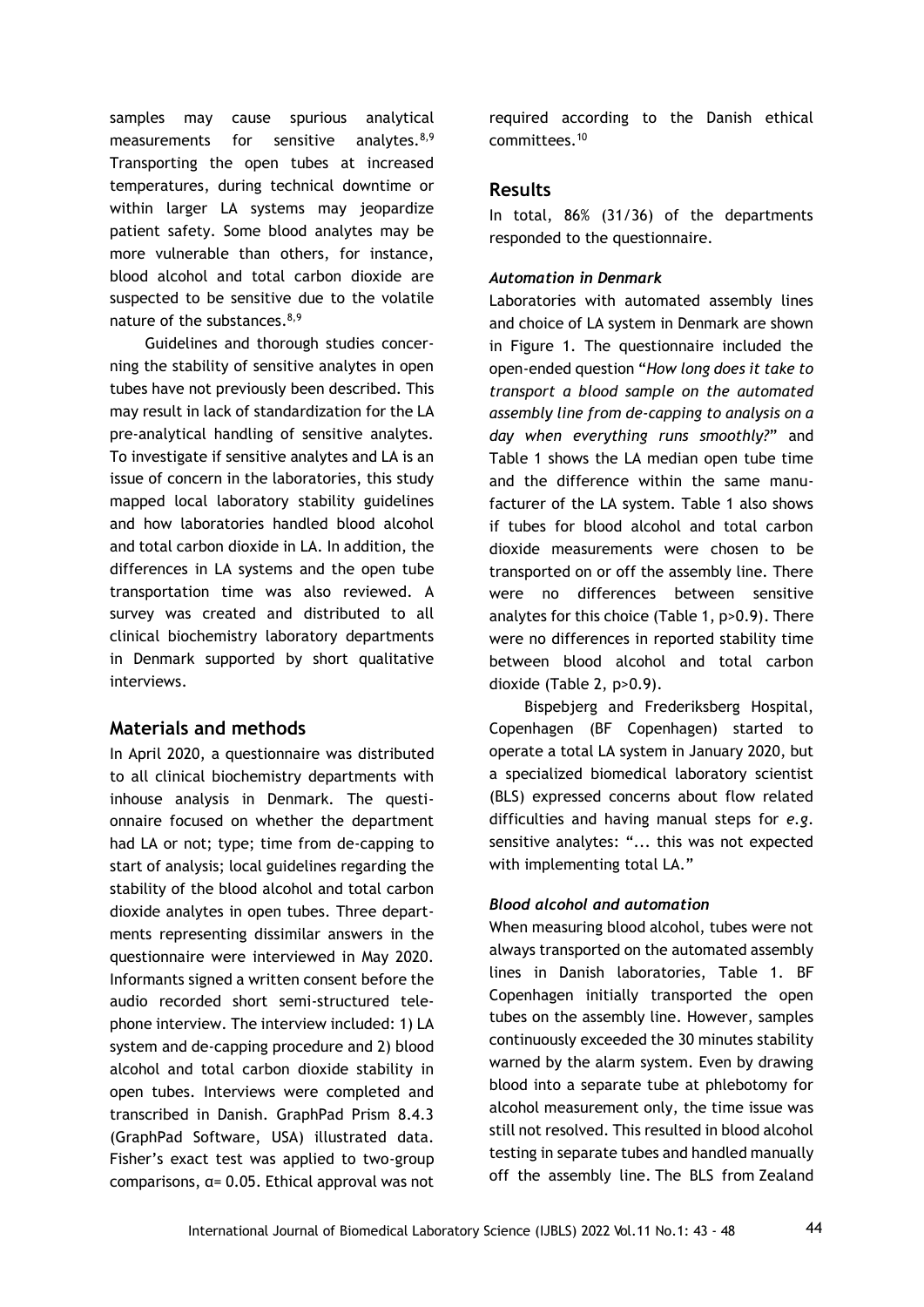samples may cause spurious analytical measurements for sensitive analytes. $8,9$ Transporting the open tubes at increased temperatures, during technical downtime or within larger LA systems may jeopardize patient safety. Some blood analytes may be more vulnerable than others, for instance, blood alcohol and total carbon dioxide are suspected to be sensitive due to the volatile nature of the substances.<sup>8,9</sup>

Guidelines and thorough studies concerning the stability of sensitive analytes in open tubes have not previously been described. This may result in lack of standardization for the LA pre-analytical handling of sensitive analytes. To investigate if sensitive analytes and LA is an issue of concern in the laboratories, this study mapped local laboratory stability guidelines and how laboratories handled blood alcohol and total carbon dioxide in LA. In addition, the differences in LA systems and the open tube transportation time was also reviewed. A survey was created and distributed to all clinical biochemistry laboratory departments in Denmark supported by short qualitative interviews.

#### **Materials and methods**

In April 2020, a questionnaire was distributed to all clinical biochemistry departments with inhouse analysis in Denmark. The questionnaire focused on whether the department had LA or not; type; time from de-capping to start of analysis; local guidelines regarding the stability of the blood alcohol and total carbon dioxide analytes in open tubes. Three departments representing dissimilar answers in the questionnaire were interviewed in May 2020. Informants signed a written consent before the audio recorded short semi-structured telephone interview. The interview included: 1) LA system and de-capping procedure and 2) blood alcohol and total carbon dioxide stability in open tubes. Interviews were completed and transcribed in Danish. GraphPad Prism 8.4.3 (GraphPad Software, USA) illustrated data. Fisher's exact test was applied to two-group comparisons, α= 0.05. Ethical approval was not required according to the Danish ethical committees.<sup>10</sup>

## **Results**

In total, 86% (31/36) of the departments responded to the questionnaire.

#### *Automation in Denmark*

Laboratories with automated assembly lines and choice of LA system in Denmark are shown in Figure 1. The questionnaire included the open-ended question "*How long does it take to transport a blood sample on the automated assembly line from de-capping to analysis on a day when everything runs smoothly?*" and Table 1 shows the LA median open tube time and the difference within the same manufacturer of the LA system. Table 1 also shows if tubes for blood alcohol and total carbon dioxide measurements were chosen to be transported on or off the assembly line. There were no differences between sensitive analytes for this choice (Table 1, p>0.9). There were no differences in reported stability time between blood alcohol and total carbon dioxide (Table 2, p>0.9).

Bispebjerg and Frederiksberg Hospital, Copenhagen (BF Copenhagen) started to operate a total LA system in January 2020, but a specialized biomedical laboratory scientist (BLS) expressed concerns about flow related difficulties and having manual steps for *e.g*. sensitive analytes: "... this was not expected with implementing total LA."

#### *Blood alcohol and automation*

When measuring blood alcohol, tubes were not always transported on the automated assembly lines in Danish laboratories, Table 1. BF Copenhagen initially transported the open tubes on the assembly line. However, samples continuously exceeded the 30 minutes stability warned by the alarm system. Even by drawing blood into a separate tube at phlebotomy for alcohol measurement only, the time issue was still not resolved. This resulted in blood alcohol testing in separate tubes and handled manually off the assembly line. The BLS from Zealand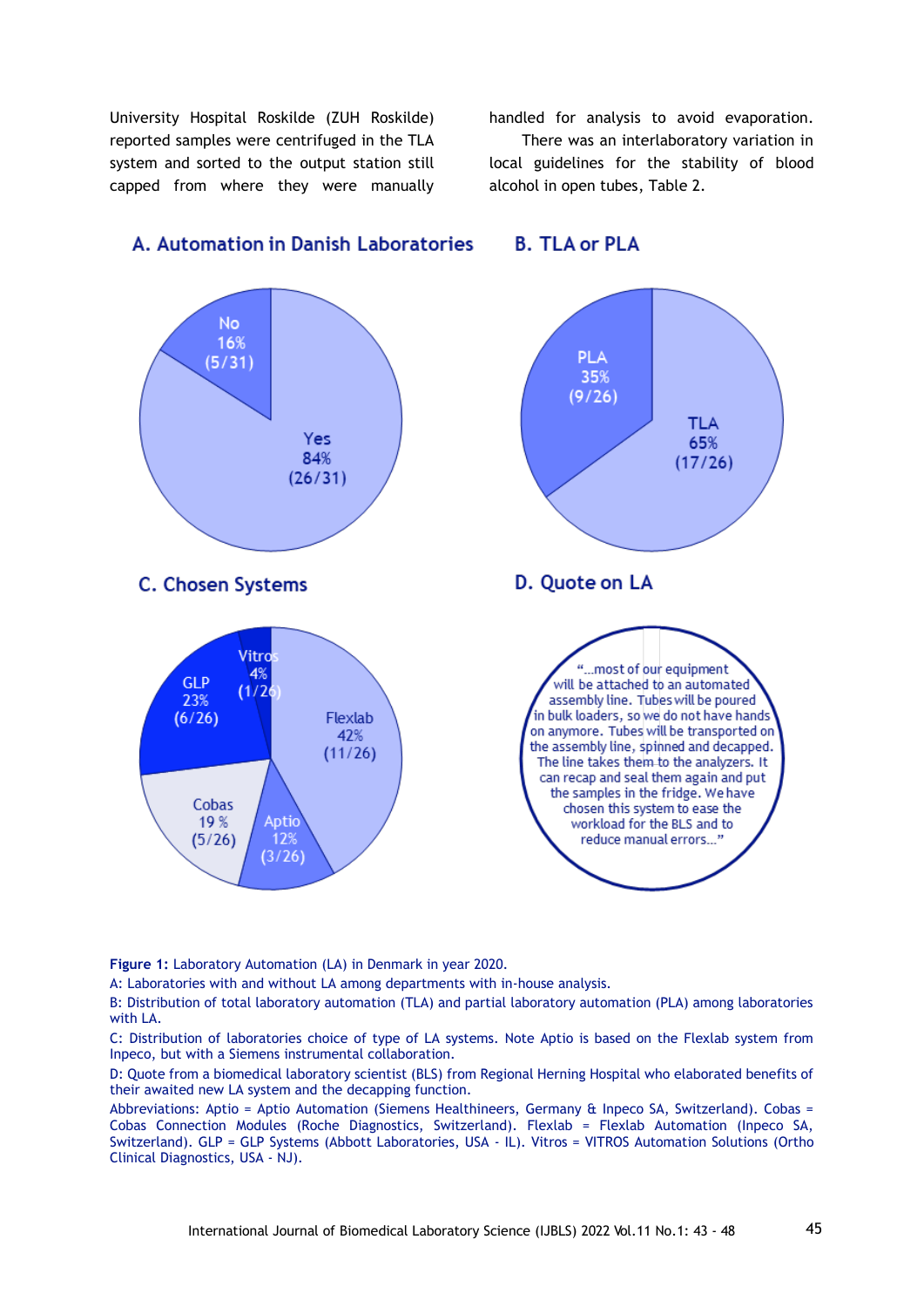University Hospital Roskilde (ZUH Roskilde) reported samples were centrifuged in the TLA system and sorted to the output station still capped from where they were manually

handled for analysis to avoid evaporation.

 There was an interlaboratory variation in local guidelines for the stability of blood alcohol in open tubes, Table 2.

**B. TLA or PLA** 



# A. Automation in Danish Laboratories

**Figure 1:** Laboratory Automation (LA) in Denmark in year 2020.

A: Laboratories with and without LA among departments with in-house analysis.

B: Distribution of total laboratory automation (TLA) and partial laboratory automation (PLA) among laboratories with LA.

C: Distribution of laboratories choice of type of LA systems. Note Aptio is based on the Flexlab system from Inpeco, but with a Siemens instrumental collaboration.

D: Quote from a biomedical laboratory scientist (BLS) from Regional Herning Hospital who elaborated benefits of their awaited new LA system and the decapping function.

Abbreviations: Aptio = Aptio Automation (Siemens Healthineers, Germany & Inpeco SA, Switzerland). Cobas = Cobas Connection Modules (Roche Diagnostics, Switzerland). Flexlab = Flexlab Automation (Inpeco SA, Switzerland). GLP = GLP Systems (Abbott Laboratories, USA - IL). Vitros = VITROS Automation Solutions (Ortho Clinical Diagnostics, USA - NJ).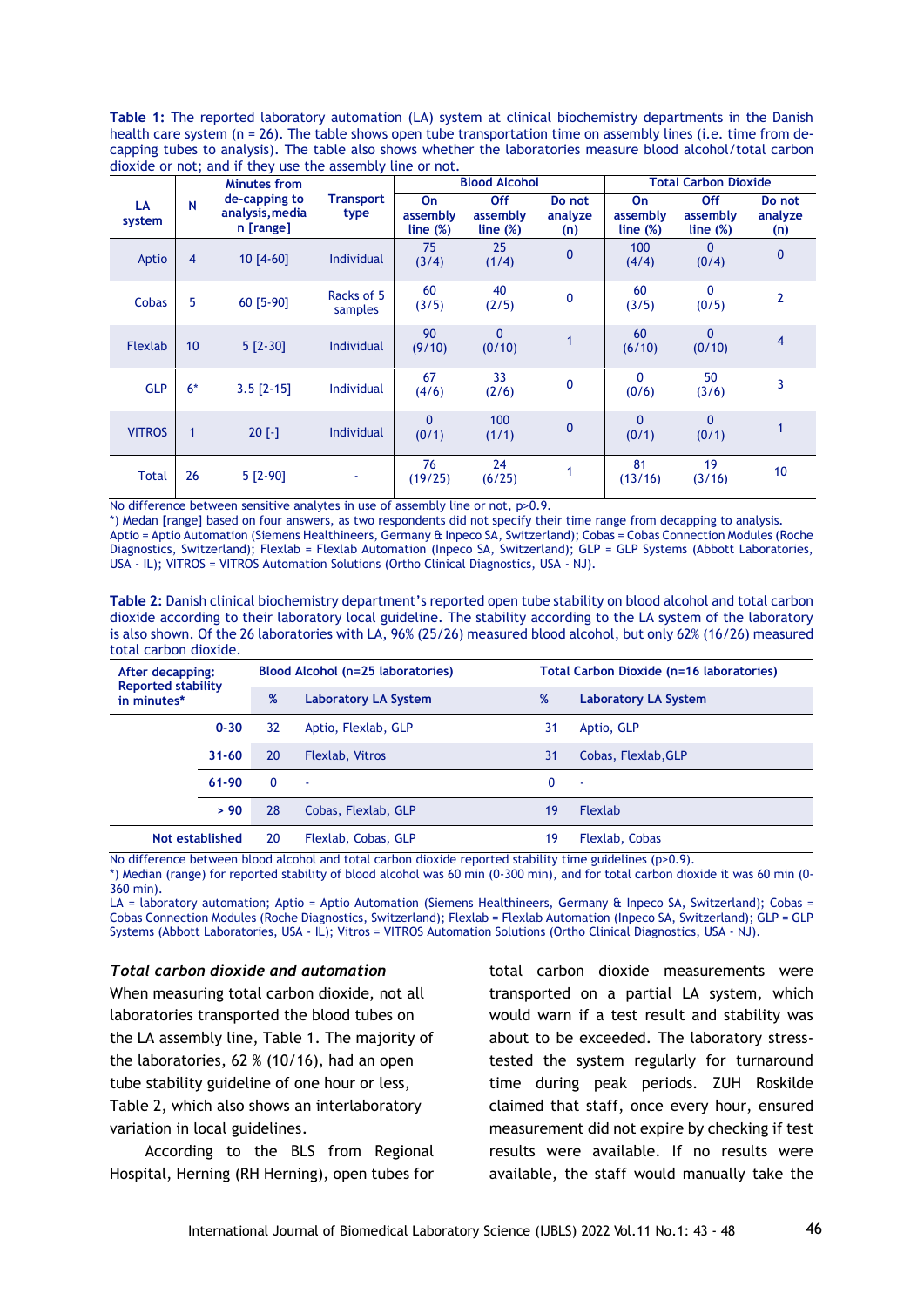**Table 1:** The reported laboratory automation (LA) system at clinical biochemistry departments in the Danish health care system (n = 26). The table shows open tube transportation time on assembly lines (i.e. time from decapping tubes to analysis). The table also shows whether the laboratories measure blood alcohol/total carbon dioxide or not; and if they use the assembly line or not.

| LA<br>system   | N    | Minutes from<br>de-capping to<br>analysis, media<br>$n$ [range] | <b>Transport</b><br>type | <b>Blood Alcohol</b>                  |                                |                          | <b>Total Carbon Dioxide</b>          |                                |                          |
|----------------|------|-----------------------------------------------------------------|--------------------------|---------------------------------------|--------------------------------|--------------------------|--------------------------------------|--------------------------------|--------------------------|
|                |      |                                                                 |                          | On<br>assembly<br>line <sub>(%)</sub> | Off<br>assembly<br>line $(\%)$ | Do not<br>analyze<br>(n) | <b>On</b><br>assembly<br>line $(\%)$ | Off<br>assembly<br>line $(\%)$ | Do not<br>analyze<br>(n) |
| Aptio          | 4    | $10 [4-60]$                                                     | <b>Individual</b>        | 75<br>(3/4)                           | 25<br>(1/4)                    | $\mathbf{0}$             | 100<br>(4/4)                         | 0<br>(0/4)                     | $\mathbf{0}$             |
| Cobas          | 5    | 60 [5-90]                                                       | Racks of 5<br>samples    | 60<br>(3/5)                           | 40<br>(2/5)                    | $\mathbf 0$              | 60<br>(3/5)                          | $\mathbf 0$<br>(0/5)           | 2                        |
| <b>Flexlab</b> | 10   | $5 [2-30]$                                                      | <b>Individual</b>        | 90<br>(9/10)                          | $\mathbf{0}$<br>(0/10)         |                          | 60<br>(6/10)                         | 0<br>(0/10)                    | $\overline{4}$           |
| <b>GLP</b>     | $6*$ | $3.5$ [2-15]                                                    | Individual               | 67<br>(4/6)                           | 33<br>(2/6)                    | 0                        | 0<br>(0/6)                           | 50<br>(3/6)                    | 3                        |
| <b>VITROS</b>  | 1    | $20$ [-]                                                        | Individual               | $\mathbf{0}$<br>(0/1)                 | 100<br>(1/1)                   | $\mathbf{0}$             | $\mathbf{0}$<br>(0/1)                | $\mathbf{0}$<br>(0/1)          |                          |
| Total          | 26   | $5 [2-90]$                                                      |                          | 76<br>(19/25)                         | 24<br>(6/25)                   |                          | 81<br>(13/16)                        | 19<br>(3/16)                   | 10                       |

No difference between sensitive analytes in use of assembly line or not, p>0.9.

\*) Medan [range] based on four answers, as two respondents did not specify their time range from decapping to analysis. Aptio = Aptio Automation (Siemens Healthineers, Germany & Inpeco SA, Switzerland); Cobas = Cobas Connection Modules (Roche Diagnostics, Switzerland); Flexlab = Flexlab Automation (Inpeco SA, Switzerland); GLP = GLP Systems (Abbott Laboratories, USA - IL); VITROS = VITROS Automation Solutions (Ortho Clinical Diagnostics, USA - NJ).

**Table 2:** Danish clinical biochemistry department's reported open tube stability on blood alcohol and total carbon dioxide according to their laboratory local guideline. The stability according to the LA system of the laboratory is also shown. Of the 26 laboratories with LA, 96% (25/26) measured blood alcohol, but only 62% (16/26) measured total carbon dioxide.

| After decapping:<br><b>Reported stability</b> |           | Blood Alcohol (n=25 laboratories) |                             |    | Total Carbon Dioxide (n=16 laboratories) |  |  |  |
|-----------------------------------------------|-----------|-----------------------------------|-----------------------------|----|------------------------------------------|--|--|--|
| in minutes*                                   |           | %                                 | <b>Laboratory LA System</b> |    | <b>Laboratory LA System</b>              |  |  |  |
|                                               | $0 - 30$  | 32                                | Aptio, Flexlab, GLP         | 31 | Aptio, GLP                               |  |  |  |
|                                               | $31 - 60$ | 20                                | Flexlab, Vitros             | 31 | Cobas, Flexlab, GLP                      |  |  |  |
|                                               | 61-90     | O                                 |                             | 0  | ٠                                        |  |  |  |
|                                               | > 90      | 28                                | Cobas, Flexlab, GLP         | 19 | <b>Flexlab</b>                           |  |  |  |
| Not established                               |           | 20                                | Flexlab, Cobas, GLP         | 19 | Flexlab, Cobas                           |  |  |  |

No difference between blood alcohol and total carbon dioxide reported stability time guidelines (p>0.9).

\*) Median (range) for reported stability of blood alcohol was 60 min (0-300 min), and for total carbon dioxide it was 60 min (0- 360 min).

LA = laboratory automation; Aptio = Aptio Automation (Siemens Healthineers, Germany & Inpeco SA, Switzerland); Cobas = Cobas Connection Modules (Roche Diagnostics, Switzerland); Flexlab = Flexlab Automation (Inpeco SA, Switzerland); GLP = GLP Systems (Abbott Laboratories, USA - IL); Vitros = VITROS Automation Solutions (Ortho Clinical Diagnostics, USA - NJ).

#### *Total carbon dioxide and automation*

When measuring total carbon dioxide, not all laboratories transported the blood tubes on the LA assembly line, Table 1. The majority of the laboratories, 62 % (10/16), had an open tube stability guideline of one hour or less, Table 2, which also shows an interlaboratory variation in local guidelines.

According to the BLS from Regional Hospital, Herning (RH Herning), open tubes for

total carbon dioxide measurements were transported on a partial LA system, which would warn if a test result and stability was about to be exceeded. The laboratory stresstested the system regularly for turnaround time during peak periods. ZUH Roskilde claimed that staff, once every hour, ensured measurement did not expire by checking if test results were available. If no results were available, the staff would manually take the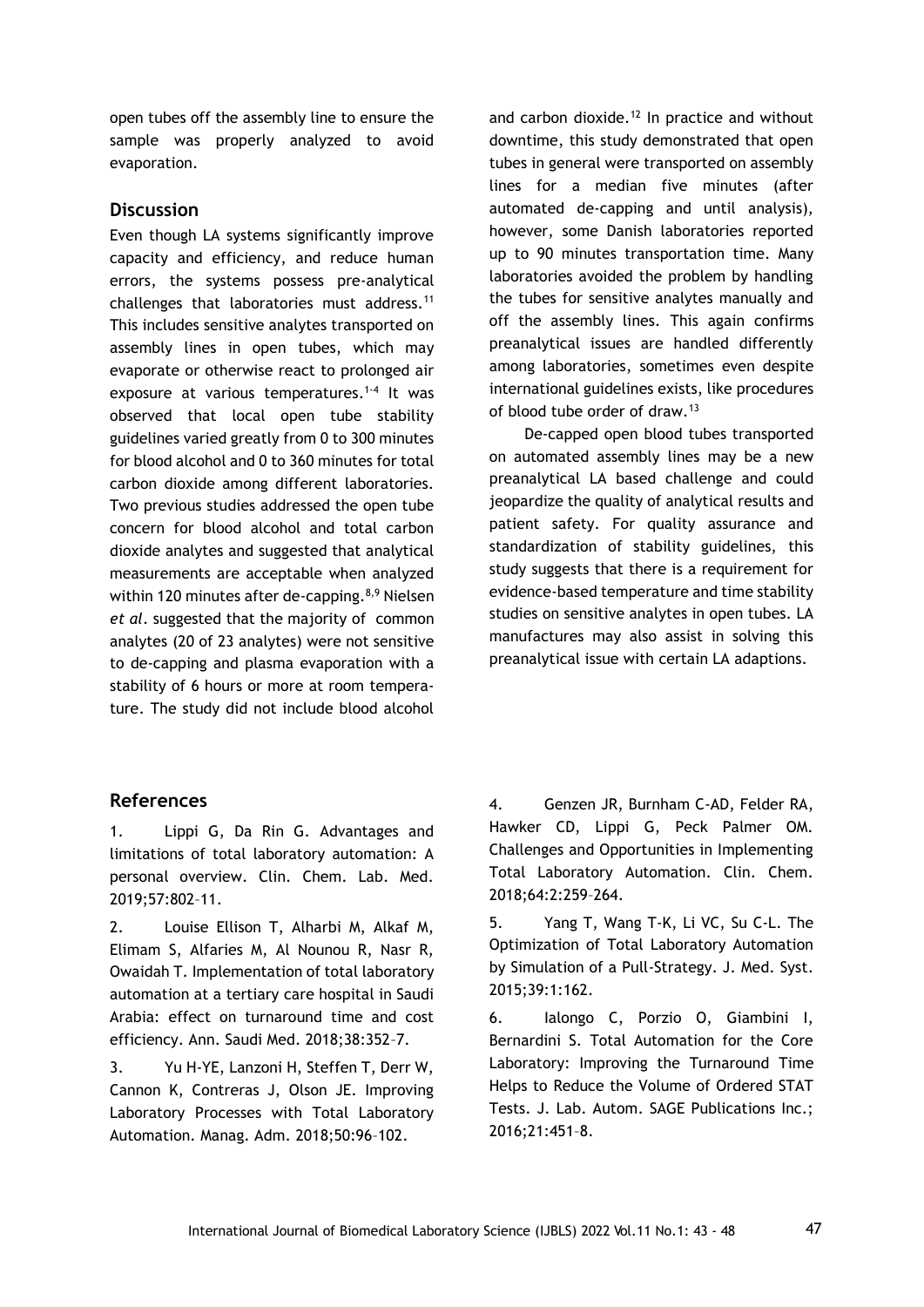open tubes off the assembly line to ensure the sample was properly analyzed to avoid evaporation.

### **Discussion**

Even though LA systems significantly improve capacity and efficiency, and reduce human errors, the systems possess pre-analytical challenges that laboratories must address.<sup>11</sup> This includes sensitive analytes transported on assembly lines in open tubes, which may evaporate or otherwise react to prolonged air exposure at various temperatures.<sup>1-4</sup> It was observed that local open tube stability guidelines varied greatly from 0 to 300 minutes for blood alcohol and 0 to 360 minutes for total carbon dioxide among different laboratories. Two previous studies addressed the open tube concern for blood alcohol and total carbon dioxide analytes and suggested that analytical measurements are acceptable when analyzed within 120 minutes after de-capping.<sup>8,9</sup> Nielsen *et al*. suggested that the majority of common analytes (20 of 23 analytes) were not sensitive to de-capping and plasma evaporation with a stability of 6 hours or more at room temperature. The study did not include blood alcohol and carbon dioxide.<sup>12</sup> In practice and without downtime, this study demonstrated that open tubes in general were transported on assembly lines for a median five minutes (after automated de-capping and until analysis), however, some Danish laboratories reported up to 90 minutes transportation time. Many laboratories avoided the problem by handling the tubes for sensitive analytes manually and off the assembly lines. This again confirms preanalytical issues are handled differently among laboratories, sometimes even despite international guidelines exists, like procedures of blood tube order of draw.<sup>13</sup>

De-capped open blood tubes transported on automated assembly lines may be a new preanalytical LA based challenge and could jeopardize the quality of analytical results and patient safety. For quality assurance and standardization of stability guidelines, this study suggests that there is a requirement for evidence-based temperature and time stability studies on sensitive analytes in open tubes. LA manufactures may also assist in solving this preanalytical issue with certain LA adaptions.

# **References**

1. Lippi G, Da Rin G. Advantages and limitations of total laboratory automation: A personal overview. Clin. Chem. Lab. Med. 2019;57:802–11.

2. Louise Ellison T, Alharbi M, Alkaf M, Elimam S, Alfaries M, Al Nounou R, Nasr R, Owaidah T. Implementation of total laboratory automation at a tertiary care hospital in Saudi Arabia: effect on turnaround time and cost efficiency. Ann. Saudi Med. 2018;38:352–7.

3. Yu H-YE, Lanzoni H, Steffen T, Derr W, Cannon K, Contreras J, Olson JE. Improving Laboratory Processes with Total Laboratory Automation. Manag. Adm. 2018;50:96–102.

4. Genzen JR, Burnham C-AD, Felder RA, Hawker CD, Lippi G, Peck Palmer OM. Challenges and Opportunities in Implementing Total Laboratory Automation. Clin. Chem. 2018;64:2:259–264.

5. Yang T, Wang T-K, Li VC, Su C-L. The Optimization of Total Laboratory Automation by Simulation of a Pull-Strategy. J. Med. Syst. 2015;39:1:162.

6. Ialongo C, Porzio O, Giambini I, Bernardini S. Total Automation for the Core Laboratory: Improving the Turnaround Time Helps to Reduce the Volume of Ordered STAT Tests. J. Lab. Autom. SAGE Publications Inc.; 2016;21:451–8.